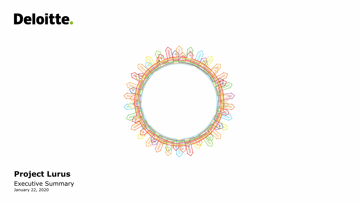# Deloitte.



#### **Project Lurus**

Executive Summary January 22, 2020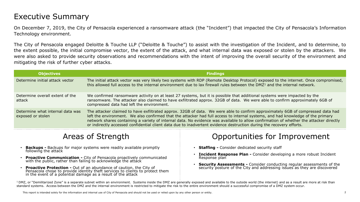# Executive Summary

On December 7, 2019, the City of Pensacola experienced a ransomware attack (the "Incident") that impacted the City of Pensacola's Information Technology environment.

The City of Pensacola engaged Deloitte & Touche LLP ("Deloitte & Touche") to assist with the investigation of the Incident, and to determine, to the extent possible, the initial compromise vector, the extent of the attack, and what internal data was exposed or stolen by the attackers. We were also asked to provide security observations and recommendations with the intent of improving the overall security of the environment and mitigating the risk of further cyber attacks.

| <b>Objectives</b>                                     | <b>Findings</b>                                                                                                                                                                                                                                                                                                                                                                                                                                                                                                                      |
|-------------------------------------------------------|--------------------------------------------------------------------------------------------------------------------------------------------------------------------------------------------------------------------------------------------------------------------------------------------------------------------------------------------------------------------------------------------------------------------------------------------------------------------------------------------------------------------------------------|
| Determine initial attack vector                       | The initial attack vector was very likely two systems with RDP (Remote Desktop Protocol) exposed to the internet. Once compromised,<br>this allowed full access to the internal environment due to lax firewall rules between the DMZ <sup>1</sup> and the internal network.                                                                                                                                                                                                                                                         |
| Determine overall extent of the<br>attack             | We confirmed ransomware activity on at least 27 systems, but it is possible that additional systems were impacted by the<br>ransomware. The attacker also claimed to have exfiltrated approx. 32GB of data. We were able to confirm approximately 6GB of<br>compressed data had left the environment.                                                                                                                                                                                                                                |
| Determine what internal data was<br>exposed or stolen | The attacker claimed to have exfiltrated approx. 32GB of data. We were able to confirm approximately 6GB of compressed data had<br>left the environment. We also confirmed that the attacker had full access to internal systems, and had knowledge of the primary<br>network shares containing a variety of internal data. No evidence was available to allow confirmation of whether the attacker directly<br>or indirectly accessed confidential client data due to inadvertent evidence destruction during the recovery efforts. |

# Areas of Strength

- Backups Backups for major systems were readily available promptly
- Proactive Communication City of Pensacola proactively communicated with the public, rather than failing to acknowledge the attack
- **Proactive Protection -** Out of an abundance of caution, the City of<br>Pensacola chose to provide identity theft services to clients to protect them in the event of a potential damage as a result of the attack

#### Opportunities for Improvement

- Staffing Consider dedicated security staff
- **Incident Response Plan -** Consider developing a more robust Incident
- Backups Backups for major systems were readily available promptly<br>
**Consider dedicated security staff**<br>
**Proactive Communication** City of Pensacola proactively communicated<br>
**Proactive Protection** Out of an a

 $^1$ DMZ, or "Demilitarized Zone" is a separate subnet within an environment. Systems inside the DMZ are generally exposed and available to the outside world (the internet) and as a result are more at risk than standard systems. Access between the DMZ and the internal environment is restricted to mitigate the risk to the entire environment should a successful compromise of a DMZ system occur.